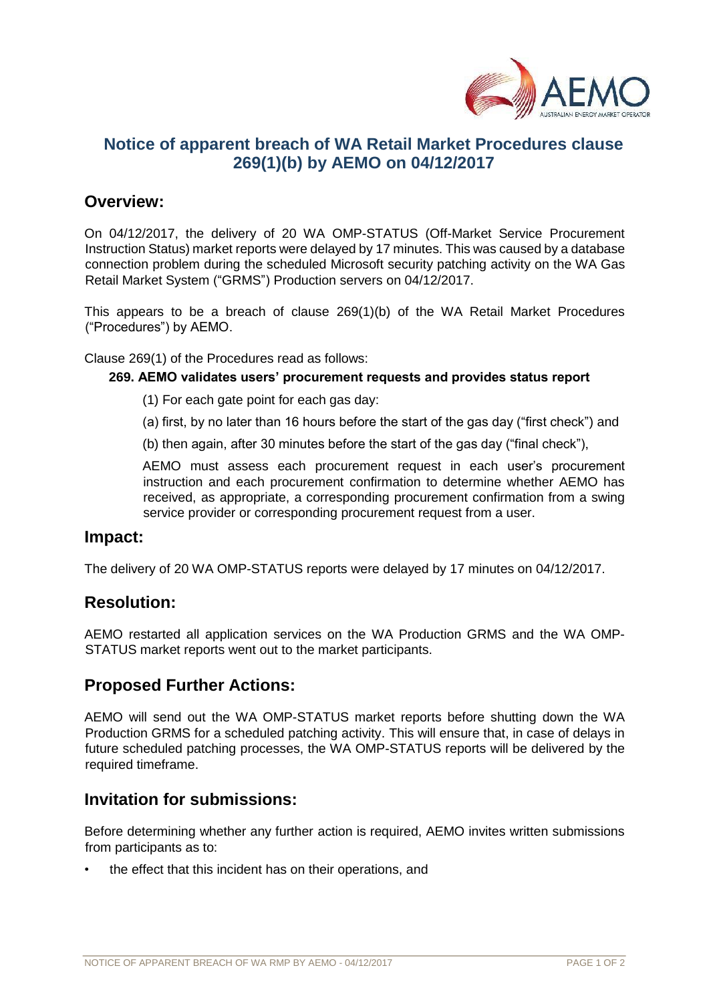

# **Notice of apparent breach of WA Retail Market Procedures clause 269(1)(b) by AEMO on 04/12/2017**

# **Overview:**

On 04/12/2017, the delivery of 20 WA OMP-STATUS (Off-Market Service Procurement Instruction Status) market reports were delayed by 17 minutes. This was caused by a database connection problem during the scheduled Microsoft security patching activity on the WA Gas Retail Market System ("GRMS") Production servers on 04/12/2017.

This appears to be a breach of clause 269(1)(b) of the WA Retail Market Procedures ("Procedures") by AEMO.

Clause 269(1) of the Procedures read as follows:

#### **269. AEMO validates users' procurement requests and provides status report**

- (1) For each gate point for each gas day:
- (a) first, by no later than 16 hours before the start of the gas day ("first check") and
- (b) then again, after 30 minutes before the start of the gas day ("final check"),

AEMO must assess each procurement request in each user's procurement instruction and each procurement confirmation to determine whether AEMO has received, as appropriate, a corresponding procurement confirmation from a swing service provider or corresponding procurement request from a user.

### **Impact:**

The delivery of 20 WA OMP-STATUS reports were delayed by 17 minutes on 04/12/2017.

# **Resolution:**

AEMO restarted all application services on the WA Production GRMS and the WA OMP-STATUS market reports went out to the market participants.

# **Proposed Further Actions:**

AEMO will send out the WA OMP-STATUS market reports before shutting down the WA Production GRMS for a scheduled patching activity. This will ensure that, in case of delays in future scheduled patching processes, the WA OMP-STATUS reports will be delivered by the required timeframe.

# **Invitation for submissions:**

Before determining whether any further action is required, AEMO invites written submissions from participants as to:

the effect that this incident has on their operations, and